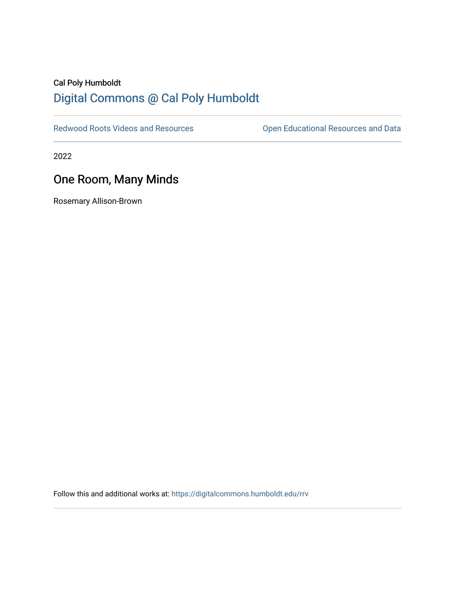## Cal Poly Humboldt [Digital Commons @ Cal Poly Humboldt](https://digitalcommons.humboldt.edu/)

[Redwood Roots Videos and Resources](https://digitalcommons.humboldt.edu/rrv) **Conservational Resources and Data** 

2022

## One Room, Many Minds

Rosemary Allison-Brown

Follow this and additional works at: [https://digitalcommons.humboldt.edu/rrv](https://digitalcommons.humboldt.edu/rrv?utm_source=digitalcommons.humboldt.edu%2Frrv%2F20&utm_medium=PDF&utm_campaign=PDFCoverPages)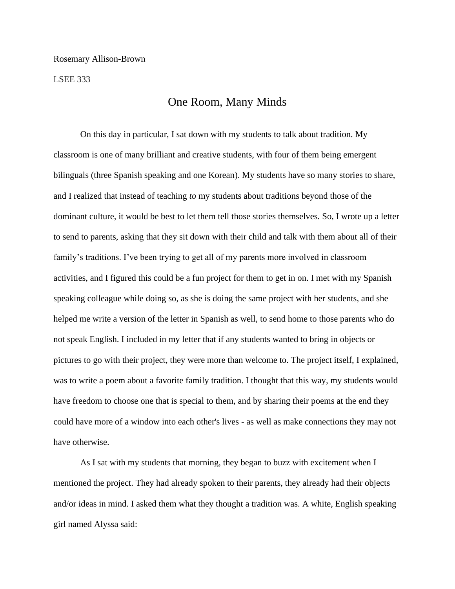LSEE 333

## One Room, Many Minds

On this day in particular, I sat down with my students to talk about tradition. My classroom is one of many brilliant and creative students, with four of them being emergent bilinguals (three Spanish speaking and one Korean). My students have so many stories to share, and I realized that instead of teaching *to* my students about traditions beyond those of the dominant culture, it would be best to let them tell those stories themselves. So, I wrote up a letter to send to parents, asking that they sit down with their child and talk with them about all of their family's traditions. I've been trying to get all of my parents more involved in classroom activities, and I figured this could be a fun project for them to get in on. I met with my Spanish speaking colleague while doing so, as she is doing the same project with her students, and she helped me write a version of the letter in Spanish as well, to send home to those parents who do not speak English. I included in my letter that if any students wanted to bring in objects or pictures to go with their project, they were more than welcome to. The project itself, I explained, was to write a poem about a favorite family tradition. I thought that this way, my students would have freedom to choose one that is special to them, and by sharing their poems at the end they could have more of a window into each other's lives - as well as make connections they may not have otherwise.

As I sat with my students that morning, they began to buzz with excitement when I mentioned the project. They had already spoken to their parents, they already had their objects and/or ideas in mind. I asked them what they thought a tradition was. A white, English speaking girl named Alyssa said: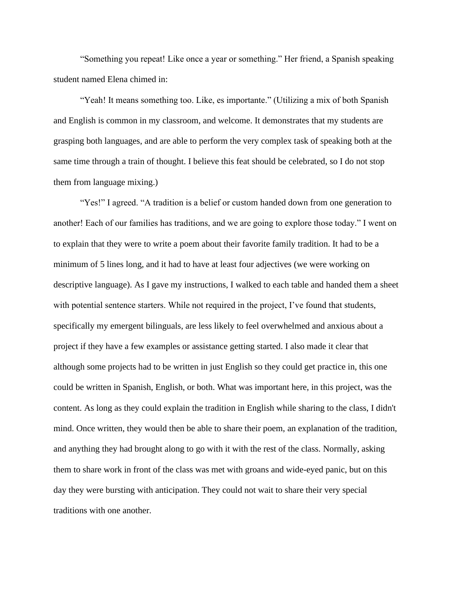"Something you repeat! Like once a year or something." Her friend, a Spanish speaking student named Elena chimed in:

"Yeah! It means something too. Like, es importante." (Utilizing a mix of both Spanish and English is common in my classroom, and welcome. It demonstrates that my students are grasping both languages, and are able to perform the very complex task of speaking both at the same time through a train of thought. I believe this feat should be celebrated, so I do not stop them from language mixing.)

"Yes!" I agreed. "A tradition is a belief or custom handed down from one generation to another! Each of our families has traditions, and we are going to explore those today." I went on to explain that they were to write a poem about their favorite family tradition. It had to be a minimum of 5 lines long, and it had to have at least four adjectives (we were working on descriptive language). As I gave my instructions, I walked to each table and handed them a sheet with potential sentence starters. While not required in the project, I've found that students, specifically my emergent bilinguals, are less likely to feel overwhelmed and anxious about a project if they have a few examples or assistance getting started. I also made it clear that although some projects had to be written in just English so they could get practice in, this one could be written in Spanish, English, or both. What was important here, in this project, was the content. As long as they could explain the tradition in English while sharing to the class, I didn't mind. Once written, they would then be able to share their poem, an explanation of the tradition, and anything they had brought along to go with it with the rest of the class. Normally, asking them to share work in front of the class was met with groans and wide-eyed panic, but on this day they were bursting with anticipation. They could not wait to share their very special traditions with one another.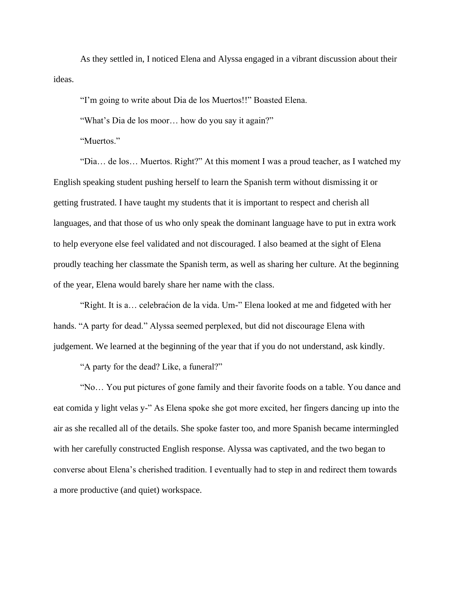As they settled in, I noticed Elena and Alyssa engaged in a vibrant discussion about their ideas.

"I'm going to write about Dia de los Muertos!!" Boasted Elena.

"What's Dia de los moor… how do you say it again?"

"Muertos."

"Dia… de los… Muertos. Right?" At this moment I was a proud teacher, as I watched my English speaking student pushing herself to learn the Spanish term without dismissing it or getting frustrated. I have taught my students that it is important to respect and cherish all languages, and that those of us who only speak the dominant language have to put in extra work to help everyone else feel validated and not discouraged. I also beamed at the sight of Elena proudly teaching her classmate the Spanish term, as well as sharing her culture. At the beginning of the year, Elena would barely share her name with the class.

"Right. It is a… celebraćion de la vida. Um-" Elena looked at me and fidgeted with her hands. "A party for dead." Alyssa seemed perplexed, but did not discourage Elena with judgement. We learned at the beginning of the year that if you do not understand, ask kindly.

"A party for the dead? Like, a funeral?"

"No… You put pictures of gone family and their favorite foods on a table. You dance and eat comida y light velas y-" As Elena spoke she got more excited, her fingers dancing up into the air as she recalled all of the details. She spoke faster too, and more Spanish became intermingled with her carefully constructed English response. Alyssa was captivated, and the two began to converse about Elena's cherished tradition. I eventually had to step in and redirect them towards a more productive (and quiet) workspace.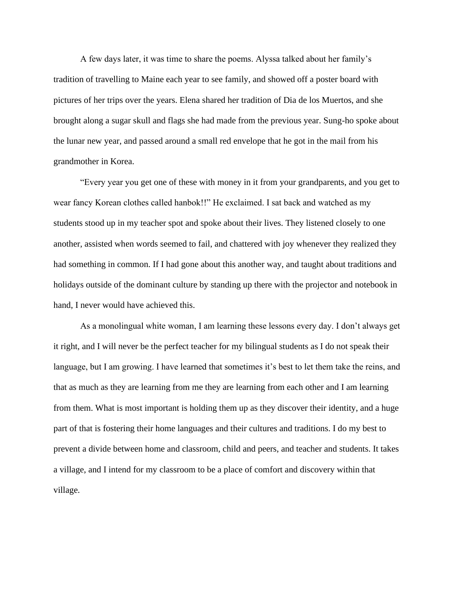A few days later, it was time to share the poems. Alyssa talked about her family's tradition of travelling to Maine each year to see family, and showed off a poster board with pictures of her trips over the years. Elena shared her tradition of Dia de los Muertos, and she brought along a sugar skull and flags she had made from the previous year. Sung-ho spoke about the lunar new year, and passed around a small red envelope that he got in the mail from his grandmother in Korea.

"Every year you get one of these with money in it from your grandparents, and you get to wear fancy Korean clothes called hanbok!!" He exclaimed. I sat back and watched as my students stood up in my teacher spot and spoke about their lives. They listened closely to one another, assisted when words seemed to fail, and chattered with joy whenever they realized they had something in common. If I had gone about this another way, and taught about traditions and holidays outside of the dominant culture by standing up there with the projector and notebook in hand, I never would have achieved this.

As a monolingual white woman, I am learning these lessons every day. I don't always get it right, and I will never be the perfect teacher for my bilingual students as I do not speak their language, but I am growing. I have learned that sometimes it's best to let them take the reins, and that as much as they are learning from me they are learning from each other and I am learning from them. What is most important is holding them up as they discover their identity, and a huge part of that is fostering their home languages and their cultures and traditions. I do my best to prevent a divide between home and classroom, child and peers, and teacher and students. It takes a village, and I intend for my classroom to be a place of comfort and discovery within that village.